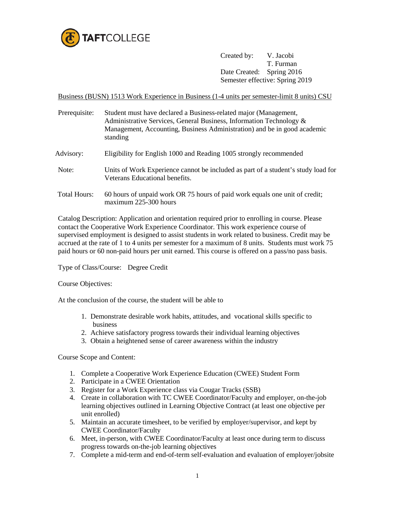

Created by: V. Jacobi T. Furman Date Created: Spring 2016 Semester effective: Spring 2019

Business (BUSN) 1513 Work Experience in Business (1-4 units per semester-limit 8 units) CSU

Prerequisite: Student must have declared a Business-related major (Management, Administrative Services, General Business, Information Technology & Management, Accounting, Business Administration) and be in good academic standing Advisory: Eligibility for English 1000 and Reading 1005 strongly recommended Note: Units of Work Experience cannot be included as part of a student's study load for Veterans Educational benefits. Total Hours: 60 hours of unpaid work OR 75 hours of paid work equals one unit of credit; maximum 225-300 hours

Catalog Description: Application and orientation required prior to enrolling in course. Please contact the Cooperative Work Experience Coordinator. This work experience course of supervised employment is designed to assist students in work related to business. Credit may be accrued at the rate of 1 to 4 units per semester for a maximum of 8 units. Students must work 75 paid hours or 60 non-paid hours per unit earned. This course is offered on a pass/no pass basis.

Type of Class/Course: Degree Credit

Course Objectives:

At the conclusion of the course, the student will be able to

- 1. Demonstrate desirable work habits, attitudes, and vocational skills specific to business
- 2. Achieve satisfactory progress towards their individual learning objectives
- 3. Obtain a heightened sense of career awareness within the industry

Course Scope and Content:

- 1. Complete a Cooperative Work Experience Education (CWEE) Student Form
- 2. Participate in a CWEE Orientation
- 3. Register for a Work Experience class via Cougar Tracks (SSB)
- 4. Create in collaboration with TC CWEE Coordinator/Faculty and employer, on-the-job learning objectives outlined in Learning Objective Contract (at least one objective per unit enrolled)
- 5. Maintain an accurate timesheet, to be verified by employer/supervisor, and kept by CWEE Coordinator/Faculty
- 6. Meet, in-person, with CWEE Coordinator/Faculty at least once during term to discuss progress towards on-the-job learning objectives
- 7. Complete a mid-term and end-of-term self-evaluation and evaluation of employer/jobsite